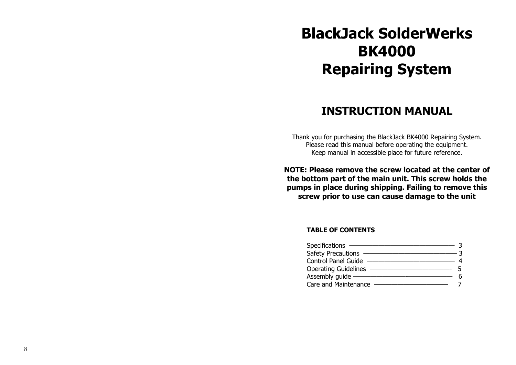# **BlackJack SolderWerks BK4000 Repairing System**

# **INSTRUCTION MANUAL**

Thank you for purchasing the BlackJack BK4000 Repairing System. Please read this manual before operating the equipment. Keep manual in accessible place for future reference.

**NOTE: Please remove the screw located at the center of the bottom part of the main unit. This screw holds the pumps in place during shipping. Failing to remove this screw prior to use can cause damage to the unit**

### **TABLE OF CONTENTS**

| Specifications -            |  |
|-----------------------------|--|
| Safety Precautions          |  |
| <b>Control Panel Guide</b>  |  |
| <b>Operating Guidelines</b> |  |
| Assembly quide —            |  |
| Care and Maintenance        |  |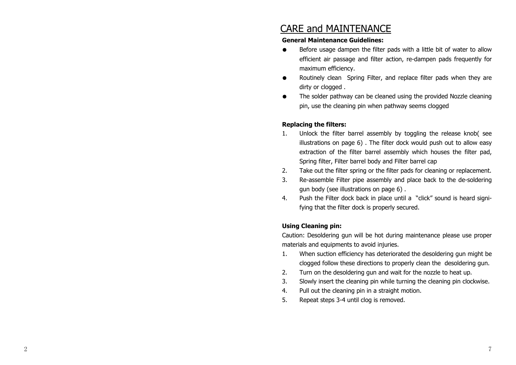### CARE and MAINTENANCE

#### **General Maintenance Guidelines:**

- Before usage dampen the filter pads with a little bit of water to allow efficient air passage and filter action, re-dampen pads frequently for maximum efficiency.
- Routinely clean Spring Filter, and replace filter pads when they are dirty or clogged.
- The solder pathway can be cleaned using the provided Nozzle cleaning pin, use the cleaning pin when pathway seems clogged

### **Replacing the filters:**

- 1. Unlock the filter barrel assembly by toggling the release knob( see illustrations on page 6) . The filter dock would push out to allow easy extraction of the filter barrel assembly which houses the filter pad, Spring filter, Filter barrel body and Filter barrel cap
- 2. Take out the filter spring or the filter pads for cleaning or replacement.
- 3. Re-assemble Filter pipe assembly and place back to the de-soldering gun body (see illustrations on page 6) .
- 4. Push the Filter dock back in place until a "click" sound is heard signifying that the filter dock is properly secured.

### **Using Cleaning pin:**

Caution: Desoldering gun will be hot during maintenance please use proper materials and equipments to avoid injuries.

- 1. When suction efficiency has deteriorated the desoldering gun might be clogged follow these directions to properly clean the desoldering gun.
- 2. Turn on the desoldering gun and wait for the nozzle to heat up.
- 3. Slowly insert the cleaning pin while turning the cleaning pin clockwise.
- 4. Pull out the cleaning pin in a straight motion.
- 5. Repeat steps 3-4 until clog is removed.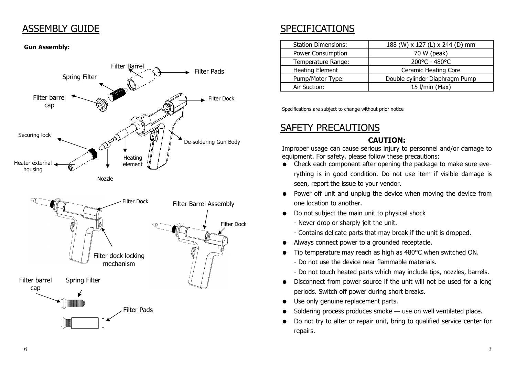### ASSEMBLY GUIDE

### **Gun Assembly:**



# SPECIFICATIONS

| <b>Station Dimensions:</b> | 188 (W) x 127 (L) x 244 (D) mm |
|----------------------------|--------------------------------|
| Power Consumption          | 70 W (peak)                    |
| Temperature Range:         | 200°C - 480°C                  |
| <b>Heating Element</b>     | <b>Ceramic Heating Core</b>    |
| Pump/Motor Type:           | Double cylinder Diaphragm Pump |
| Air Suction:               | 15 I/min (Max)                 |

Specifications are subject to change without prior notice

# SAFETY PRECAUTIONS

### **CAUTION:**

Improper usage can cause serious injury to personnel and/or damage to equipment. For safety, please follow these precautions:

- Check each component after opening the package to make sure everything is in good condition. Do not use item if visible damage is seen, report the issue to your vendor.
- Power off unit and unplug the device when moving the device from one location to another.
- Do not subject the main unit to physical shock
	- Never drop or sharply jolt the unit.
	- Contains delicate parts that may break if the unit is dropped.
- Always connect power to a grounded receptacle.
- Tip temperature may reach as high as 480°C when switched ON.
	- Do not use the device near flammable materials.
	- Do not touch heated parts which may include tips, nozzles, barrels.
- Disconnect from power source if the unit will not be used for a long periods. Switch off power during short breaks.
- Use only genuine replacement parts.
- Soldering process produces smoke  $-$  use on well ventilated place.
- Do not try to alter or repair unit, bring to qualified service center for repairs.